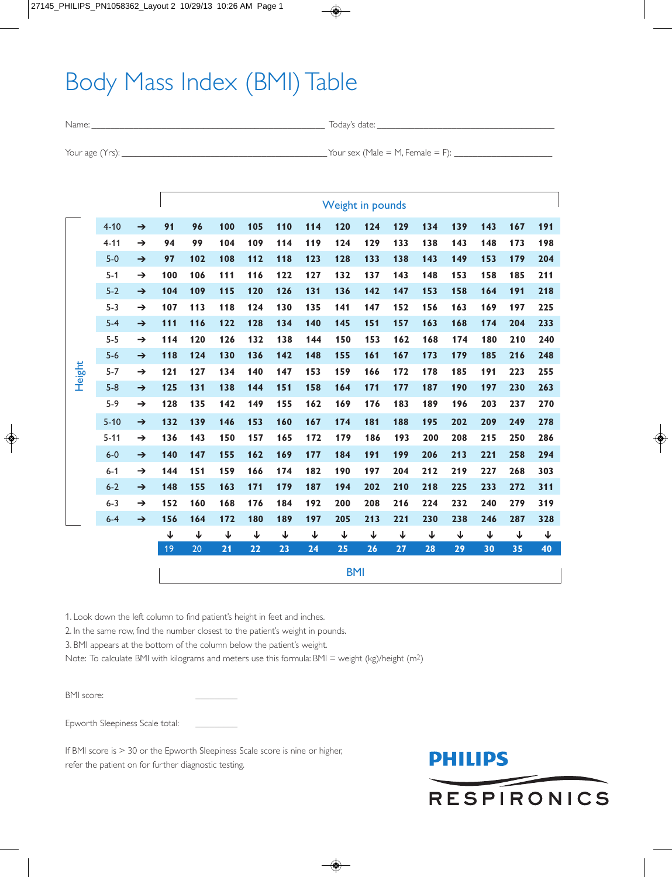## Body Mass Index (BMI) Table

Name: \_\_\_\_\_\_\_\_\_\_\_\_\_\_\_\_\_\_\_\_\_\_\_\_\_\_\_\_\_\_\_\_\_\_\_\_\_\_\_\_\_\_\_\_\_\_\_\_\_\_ Today's date: \_\_\_\_\_\_\_\_\_\_\_\_\_\_\_\_\_\_\_\_\_\_\_\_\_\_\_\_\_\_\_\_\_\_\_\_\_\_

Your age (Yrs): \_\_\_\_\_\_\_\_\_\_\_\_\_\_\_\_\_\_\_\_\_\_\_\_\_\_\_\_\_\_\_\_\_\_\_\_\_\_\_\_\_\_\_\_ Your sex (Male = M, Female = F): \_\_\_\_\_\_\_\_\_\_\_\_\_\_\_\_\_\_\_\_\_

|        |          |               |                    | Weight in pounds   |                    |                    |                    |                    |                    |                    |                    |                    |                    |                    |                    |                    |
|--------|----------|---------------|--------------------|--------------------|--------------------|--------------------|--------------------|--------------------|--------------------|--------------------|--------------------|--------------------|--------------------|--------------------|--------------------|--------------------|
|        | $4 - 10$ | $\rightarrow$ | 91                 | 96                 | 100                | 105                | 110                | 114                | 120                | 124                | 129                | 134                | 139                | 143                | 167                | 191                |
| Height | $4 - 11$ | $\rightarrow$ | 94                 | 99                 | 104                | 109                | 114                | 119                | 124                | 129                | 133                | 138                | 143                | 148                | 173                | 198                |
|        | $5-0$    | $\rightarrow$ | 97                 | 102                | 108                | 112                | 118                | 123                | 128                | 133                | 138                | 143                | 149                | 153                | 179                | 204                |
|        | $5 - 1$  | $\rightarrow$ | 100                | 106                | 111                | 116                | 122                | 127                | 132                | 137                | 143                | 148                | 153                | 158                | 185                | 211                |
|        | $5-2$    | $\rightarrow$ | 104                | 109                | 115                | 120                | 126                | 131                | 136                | 142                | 147                | 153                | 158                | 164                | 191                | 218                |
|        | $5 - 3$  | $\rightarrow$ | 107                | 113                | 118                | 124                | 130                | 135                | 141                | 147                | 152                | 156                | 163                | 169                | 197                | 225                |
|        | $5-4$    | $\rightarrow$ | 111                | 116                | 122                | 128                | 134                | 140                | 145                | 151                | 157                | 163                | 168                | 174                | 204                | 233                |
|        | $5 - 5$  | $\rightarrow$ | 114                | 120                | 126                | 132                | 138                | 144                | 150                | 153                | 162                | 168                | 174                | 180                | 210                | 240                |
|        | $5-6$    | $\rightarrow$ | 118                | 124                | 130                | 136                | 142                | 148                | 155                | 161                | 167                | 173                | 179                | 185                | 216                | 248                |
|        | $5 - 7$  | $\rightarrow$ | 121                | 127                | 134                | 140                | 147                | 153                | 159                | 166                | 172                | 178                | 185                | 191                | 223                | 255                |
|        | $5-8$    | $\rightarrow$ | 125                | 131                | 138                | 144                | 151                | 158                | 164                | 171                | 177                | 187                | 190                | 197                | 230                | 263                |
|        | $5-9$    | $\rightarrow$ | 128                | 135                | 142                | 149                | 155                | 162                | 169                | 176                | 183                | 189                | 196                | 203                | 237                | 270                |
|        | $5 - 10$ | $\rightarrow$ | 132                | 139                | 146                | 153                | 160                | 167                | 174                | 181                | 188                | 195                | 202                | 209                | 249                | 278                |
|        | $5 - 11$ | $\rightarrow$ | 136                | 143                | 150                | 157                | 165                | 172                | 179                | 186                | 193                | 200                | 208                | 215                | 250                | 286                |
|        | $6-0$    | $\rightarrow$ | 140                | 147                | 155                | 162                | 169                | 177                | 184                | 191                | 199                | 206                | 213                | 221                | 258                | 294                |
|        | $6 - 1$  | $\rightarrow$ | 144                | 151                | 159                | 166                | 174                | 182                | 190                | 197                | 204                | 212                | 219                | 227                | 268                | 303                |
|        | $6-2$    | $\rightarrow$ | 148                | 155                | 163                | 171                | 179                | 187                | 194                | 202                | 210                | 218                | 225                | 233                | 272                | 311                |
|        | $6 - 3$  | $\rightarrow$ | 152                | 160                | 168                | 176                | 184                | 192                | 200                | 208                | 216                | 224                | 232                | 240                | 279                | 319                |
|        | $6-4$    | $\rightarrow$ | 156                | 164                | 172                | 180                | 189                | 197                | 205                | 213                | 221                | 230                | 238                | 246                | 287                | 328                |
|        |          |               | $\downarrow$<br>19 | $\downarrow$<br>20 | $\downarrow$<br>21 | $\downarrow$<br>22 | $\downarrow$<br>23 | $\downarrow$<br>24 | $\downarrow$<br>25 | $\downarrow$<br>26 | $\downarrow$<br>27 | $\downarrow$<br>28 | $\downarrow$<br>29 | $\downarrow$<br>30 | $\downarrow$<br>35 | $\downarrow$<br>40 |
|        |          |               |                    |                    |                    |                    |                    |                    |                    |                    |                    |                    |                    |                    |                    |                    |
|        |          |               |                    |                    |                    |                    |                    |                    | <b>BMI</b>         |                    |                    |                    |                    |                    |                    |                    |

1. Look down the left column to find patient's height in feet and inches.

2. In the same row, find the number closest to the patient's weight in pounds.

3. BMI appears at the bottom of the column below the patient's weight.

Note: To calculate BMI with kilograms and meters use this formula: BMI = weight (kg)/height (m<sup>2</sup>)

BMI score:

Epworth Sleepiness Scale total: \_\_\_\_\_\_\_\_\_

If BMI score is > 30 or the Epworth Sleepiness Scale score is nine or higher, refer the patient on for further diagnostic testing.

## **PHILIPS RESPIRONICS**